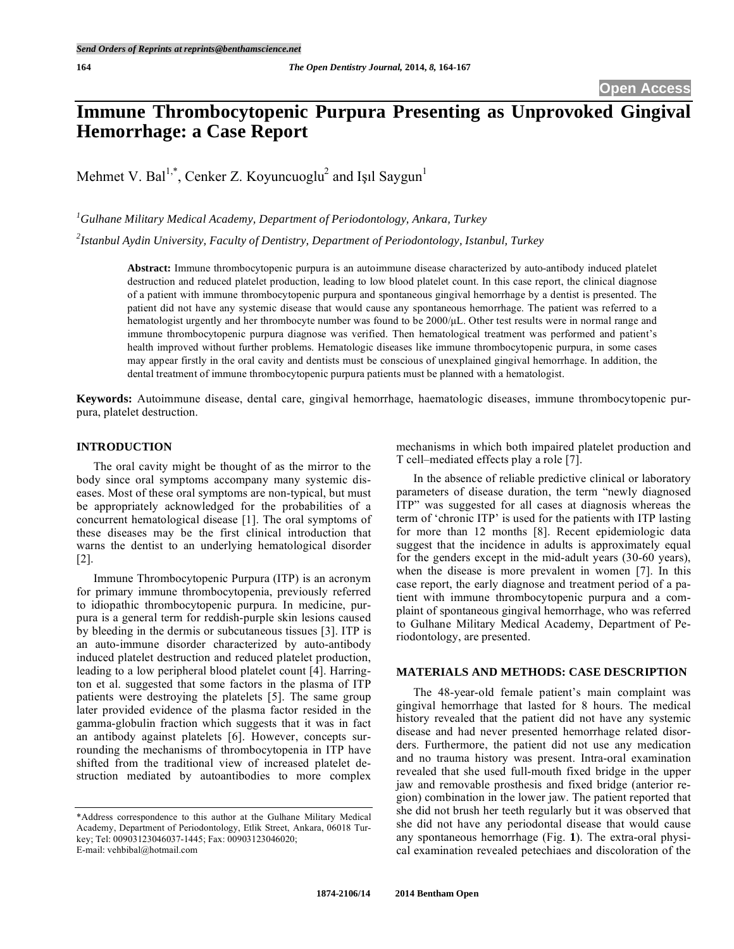# **Immune Thrombocytopenic Purpura Presenting as Unprovoked Gingival Hemorrhage: a Case Report**

Mehmet V. Bal<sup>1,\*</sup>, Cenker Z. Koyuncuoglu<sup>2</sup> and Işıl Saygun<sup>1</sup>

*1 Gulhane Military Medical Academy, Department of Periodontology, Ankara, Turkey 2 Istanbul Aydin University, Faculty of Dentistry, Department of Periodontology, Istanbul, Turkey* 

> **Abstract:** Immune thrombocytopenic purpura is an autoimmune disease characterized by auto-antibody induced platelet destruction and reduced platelet production, leading to low blood platelet count. In this case report, the clinical diagnose of a patient with immune thrombocytopenic purpura and spontaneous gingival hemorrhage by a dentist is presented. The patient did not have any systemic disease that would cause any spontaneous hemorrhage. The patient was referred to a hematologist urgently and her thrombocyte number was found to be 2000/μL. Other test results were in normal range and immune thrombocytopenic purpura diagnose was verified. Then hematological treatment was performed and patient's health improved without further problems. Hematologic diseases like immune thrombocytopenic purpura, in some cases may appear firstly in the oral cavity and dentists must be conscious of unexplained gingival hemorrhage. In addition, the dental treatment of immune thrombocytopenic purpura patients must be planned with a hematologist.

**Keywords:** Autoimmune disease, dental care, gingival hemorrhage, haematologic diseases, immune thrombocytopenic purpura, platelet destruction.

## **INTRODUCTION**

The oral cavity might be thought of as the mirror to the body since oral symptoms accompany many systemic diseases. Most of these oral symptoms are non-typical, but must be appropriately acknowledged for the probabilities of a concurrent hematological disease [1]. The oral symptoms of these diseases may be the first clinical introduction that warns the dentist to an underlying hematological disorder [2].

Immune Thrombocytopenic Purpura (ITP) is an acronym for primary immune thrombocytopenia, previously referred to idiopathic thrombocytopenic purpura. In medicine, purpura is a general term for reddish-purple skin lesions caused by bleeding in the dermis or subcutaneous tissues [3]. ITP is an auto-immune disorder characterized by auto-antibody induced platelet destruction and reduced platelet production, leading to a low peripheral blood platelet count [4]. Harrington et al. suggested that some factors in the plasma of ITP patients were destroying the platelets [5]. The same group later provided evidence of the plasma factor resided in the gamma-globulin fraction which suggests that it was in fact an antibody against platelets [6]. However, concepts surrounding the mechanisms of thrombocytopenia in ITP have shifted from the traditional view of increased platelet destruction mediated by autoantibodies to more complex mechanisms in which both impaired platelet production and T cell–mediated effects play a role [7].

In the absence of reliable predictive clinical or laboratory parameters of disease duration, the term "newly diagnosed ITP" was suggested for all cases at diagnosis whereas the term of 'chronic ITP' is used for the patients with ITP lasting for more than 12 months [8]. Recent epidemiologic data suggest that the incidence in adults is approximately equal for the genders except in the mid-adult years (30-60 years), when the disease is more prevalent in women [7]. In this case report, the early diagnose and treatment period of a patient with immune thrombocytopenic purpura and a complaint of spontaneous gingival hemorrhage, who was referred to Gulhane Military Medical Academy, Department of Periodontology, are presented.

## **MATERIALS AND METHODS: CASE DESCRIPTION**

The 48-year-old female patient's main complaint was gingival hemorrhage that lasted for 8 hours. The medical history revealed that the patient did not have any systemic disease and had never presented hemorrhage related disorders. Furthermore, the patient did not use any medication and no trauma history was present. Intra-oral examination revealed that she used full-mouth fixed bridge in the upper jaw and removable prosthesis and fixed bridge (anterior region) combination in the lower jaw. The patient reported that she did not brush her teeth regularly but it was observed that she did not have any periodontal disease that would cause any spontaneous hemorrhage (Fig. **1**). The extra-oral physical examination revealed petechiaes and discoloration of the

<sup>\*</sup>Address correspondence to this author at the Gulhane Military Medical Academy, Department of Periodontology, Etlik Street, Ankara, 06018 Turkey; Tel: 00903123046037-1445; Fax: 00903123046020; E-mail: vehbibal@hotmail.com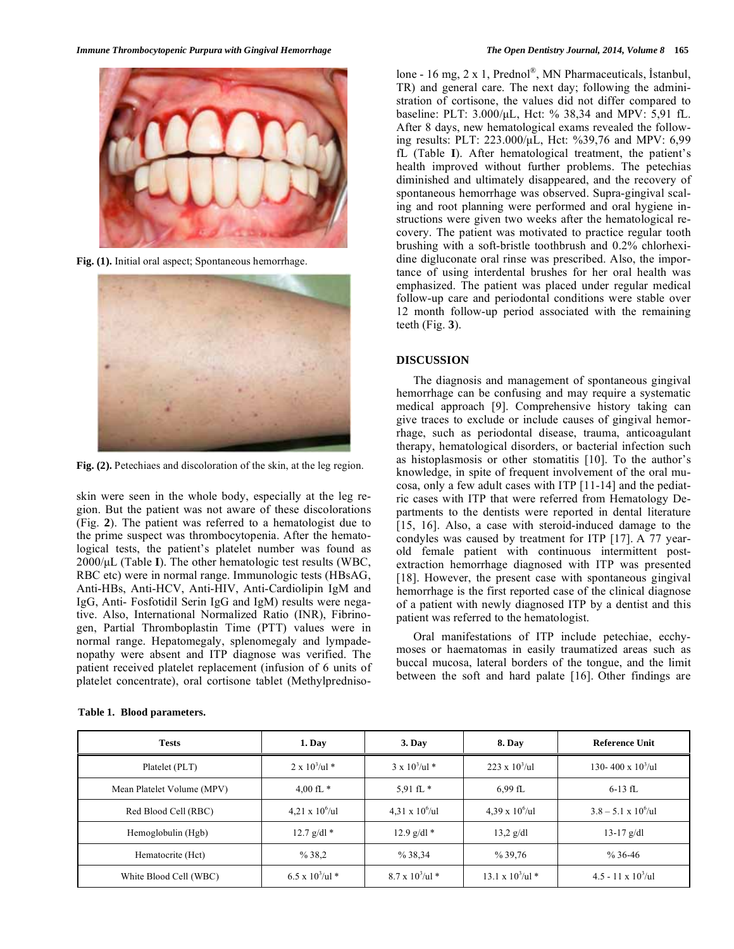

**Fig. (1).** Initial oral aspect; Spontaneous hemorrhage.



Fig. (2). Petechiaes and discoloration of the skin, at the leg region.

skin were seen in the whole body, especially at the leg region. But the patient was not aware of these discolorations (Fig. **2**). The patient was referred to a hematologist due to the prime suspect was thrombocytopenia. After the hematological tests, the patient's platelet number was found as 2000/μL (Table **I**). The other hematologic test results (WBC, RBC etc) were in normal range. Immunologic tests (HBsAG, Anti-HBs, Anti-HCV, Anti-HIV, Anti-Cardiolipin IgM and IgG, Anti- Fosfotidil Serin IgG and IgM) results were negative. Also, International Normalized Ratio (INR), Fibrinogen, Partial Thromboplastin Time (PTT) values were in normal range. Hepatomegaly, splenomegaly and lympadenopathy were absent and ITP diagnose was verified. The patient received platelet replacement (infusion of 6 units of platelet concentrate), oral cortisone tablet (Methylpredniso-

|  |  |  |  |  | The Open Dentistry Journal, 2014, Volume 8 165 |  |
|--|--|--|--|--|------------------------------------------------|--|
|--|--|--|--|--|------------------------------------------------|--|

lone - 16 mg, 2 x 1, Prednol<sup>®</sup>, MN Pharmaceuticals, Istanbul, TR) and general care. The next day; following the administration of cortisone, the values did not differ compared to baseline: PLT: 3.000/μL, Hct: % 38,34 and MPV: 5,91 fL. After 8 days, new hematological exams revealed the following results: PLT: 223.000/μL, Hct: %39,76 and MPV: 6,99 fL (Table **I**). After hematological treatment, the patient's health improved without further problems. The petechias diminished and ultimately disappeared, and the recovery of spontaneous hemorrhage was observed. Supra-gingival scaling and root planning were performed and oral hygiene instructions were given two weeks after the hematological recovery. The patient was motivated to practice regular tooth brushing with a soft-bristle toothbrush and 0.2% chlorhexidine digluconate oral rinse was prescribed. Also, the importance of using interdental brushes for her oral health was emphasized. The patient was placed under regular medical follow-up care and periodontal conditions were stable over 12 month follow-up period associated with the remaining teeth (Fig. **3**).

## **DISCUSSION**

The diagnosis and management of spontaneous gingival hemorrhage can be confusing and may require a systematic medical approach [9]. Comprehensive history taking can give traces to exclude or include causes of gingival hemorrhage, such as periodontal disease, trauma, anticoagulant therapy, hematological disorders, or bacterial infection such as histoplasmosis or other stomatitis [10]. To the author's knowledge, in spite of frequent involvement of the oral mucosa, only a few adult cases with ITP [11-14] and the pediatric cases with ITP that were referred from Hematology Departments to the dentists were reported in dental literature [15, 16]. Also, a case with steroid-induced damage to the condyles was caused by treatment for ITP [17]. A 77 yearold female patient with continuous intermittent postextraction hemorrhage diagnosed with ITP was presented [18]. However, the present case with spontaneous gingival hemorrhage is the first reported case of the clinical diagnose of a patient with newly diagnosed ITP by a dentist and this patient was referred to the hematologist.

Oral manifestations of ITP include petechiae, ecchymoses or haematomas in easily traumatized areas such as buccal mucosa, lateral borders of the tongue, and the limit between the soft and hard palate [16]. Other findings are

| <b>Tests</b>               | 1. Day                       | $3.$ Day                      | 8. Day                         | <b>Reference Unit</b>             |
|----------------------------|------------------------------|-------------------------------|--------------------------------|-----------------------------------|
| Platelet (PLT)             | $2 \times 10^3$ /ul *        | $3 \times 10^3/\text{ul}$ *   | $223 \times 10^3/\text{ul}$    | 130-400 x $10^3$ /ul              |
| Mean Platelet Volume (MPV) | 4.00 fL $*$                  | $5.91 \text{ fL}$ *           | $6.99$ fL                      | $6-13$ fL                         |
| Red Blood Cell (RBC)       | $4,21 \times 10^6/\text{ul}$ | $4.31 \times 10^6/\text{ul}$  | $4.39 \times 10^6/\text{ul}$   | $3.8 - 5.1 \times 10^6/\text{ul}$ |
| Hemoglobulin (Hgb)         | $12.7$ g/dl *                | $12.9$ g/dl *                 | $13.2$ g/dl                    | $13-17$ g/dl                      |
| Hematocrite (Hct)          | % 38.2                       | %38,34                        | % 39,76                        | $% 36-46$                         |
| White Blood Cell (WBC)     | $6.5 \times 10^3$ /ul *      | $8.7 \times 10^3/\text{ul}^*$ | $13.1 \times 10^3/\text{ul}^*$ | $4.5 - 11 \times 10^3/\text{ul}$  |

|  |  | Table 1. Blood parameters. |
|--|--|----------------------------|
|--|--|----------------------------|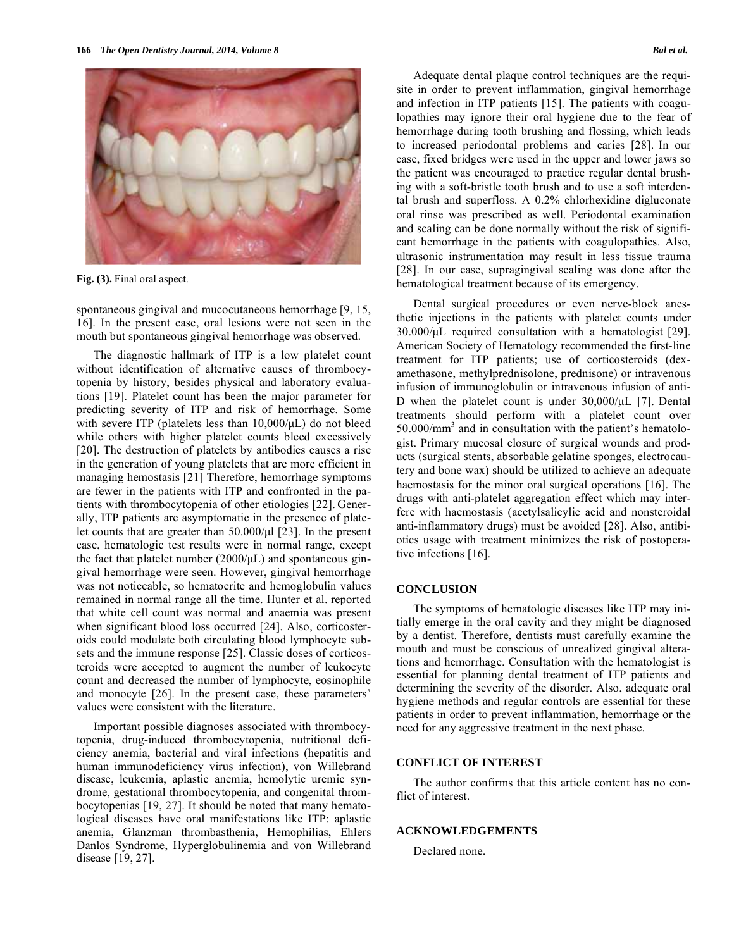

**Fig. (3).** Final oral aspect.

spontaneous gingival and mucocutaneous hemorrhage [9, 15, 16]. In the present case, oral lesions were not seen in the mouth but spontaneous gingival hemorrhage was observed.

The diagnostic hallmark of ITP is a low platelet count without identification of alternative causes of thrombocytopenia by history, besides physical and laboratory evaluations [19]. Platelet count has been the major parameter for predicting severity of ITP and risk of hemorrhage. Some with severe ITP (platelets less than 10,000/μL) do not bleed while others with higher platelet counts bleed excessively [20]. The destruction of platelets by antibodies causes a rise in the generation of young platelets that are more efficient in managing hemostasis [21] Therefore, hemorrhage symptoms are fewer in the patients with ITP and confronted in the patients with thrombocytopenia of other etiologies [22]. Generally, ITP patients are asymptomatic in the presence of platelet counts that are greater than 50.000/μl [23]. In the present case, hematologic test results were in normal range, except the fact that platelet number  $(2000/\mu L)$  and spontaneous gingival hemorrhage were seen. However, gingival hemorrhage was not noticeable, so hematocrite and hemoglobulin values remained in normal range all the time. Hunter et al. reported that white cell count was normal and anaemia was present when significant blood loss occurred [24]. Also, corticosteroids could modulate both circulating blood lymphocyte subsets and the immune response [25]. Classic doses of corticosteroids were accepted to augment the number of leukocyte count and decreased the number of lymphocyte, eosinophile and monocyte [26]. In the present case, these parameters' values were consistent with the literature.

Important possible diagnoses associated with thrombocytopenia, drug-induced thrombocytopenia, nutritional deficiency anemia, bacterial and viral infections (hepatitis and human immunodeficiency virus infection), von Willebrand disease, leukemia, aplastic anemia, hemolytic uremic syndrome, gestational thrombocytopenia, and congenital thrombocytopenias [19, 27]. It should be noted that many hematological diseases have oral manifestations like ITP: aplastic anemia, Glanzman thrombasthenia, Hemophilias, Ehlers Danlos Syndrome, Hyperglobulinemia and von Willebrand disease [19, 27].

Adequate dental plaque control techniques are the requisite in order to prevent inflammation, gingival hemorrhage and infection in ITP patients [15]. The patients with coagulopathies may ignore their oral hygiene due to the fear of hemorrhage during tooth brushing and flossing, which leads to increased periodontal problems and caries [28]. In our case, fixed bridges were used in the upper and lower jaws so the patient was encouraged to practice regular dental brushing with a soft-bristle tooth brush and to use a soft interdental brush and superfloss. A 0.2% chlorhexidine digluconate oral rinse was prescribed as well. Periodontal examination and scaling can be done normally without the risk of significant hemorrhage in the patients with coagulopathies. Also, ultrasonic instrumentation may result in less tissue trauma [28]. In our case, supragingival scaling was done after the hematological treatment because of its emergency.

Dental surgical procedures or even nerve-block anesthetic injections in the patients with platelet counts under 30.000/μL required consultation with a hematologist [29]. American Society of Hematology recommended the first-line treatment for ITP patients; use of corticosteroids (dexamethasone, methylprednisolone, prednisone) or intravenous infusion of immunoglobulin or intravenous infusion of anti-D when the platelet count is under  $30,000/\mu$ L [7]. Dental treatments should perform with a platelet count over 50.000/mm<sup>3</sup> and in consultation with the patient's hematologist. Primary mucosal closure of surgical wounds and products (surgical stents, absorbable gelatine sponges, electrocautery and bone wax) should be utilized to achieve an adequate haemostasis for the minor oral surgical operations [16]. The drugs with anti-platelet aggregation effect which may interfere with haemostasis (acetylsalicylic acid and nonsteroidal anti-inflammatory drugs) must be avoided [28]. Also, antibiotics usage with treatment minimizes the risk of postoperative infections [16].

#### **CONCLUSION**

The symptoms of hematologic diseases like ITP may initially emerge in the oral cavity and they might be diagnosed by a dentist. Therefore, dentists must carefully examine the mouth and must be conscious of unrealized gingival alterations and hemorrhage. Consultation with the hematologist is essential for planning dental treatment of ITP patients and determining the severity of the disorder. Also, adequate oral hygiene methods and regular controls are essential for these patients in order to prevent inflammation, hemorrhage or the need for any aggressive treatment in the next phase.

## **CONFLICT OF INTEREST**

The author confirms that this article content has no conflict of interest.

## **ACKNOWLEDGEMENTS**

Declared none.